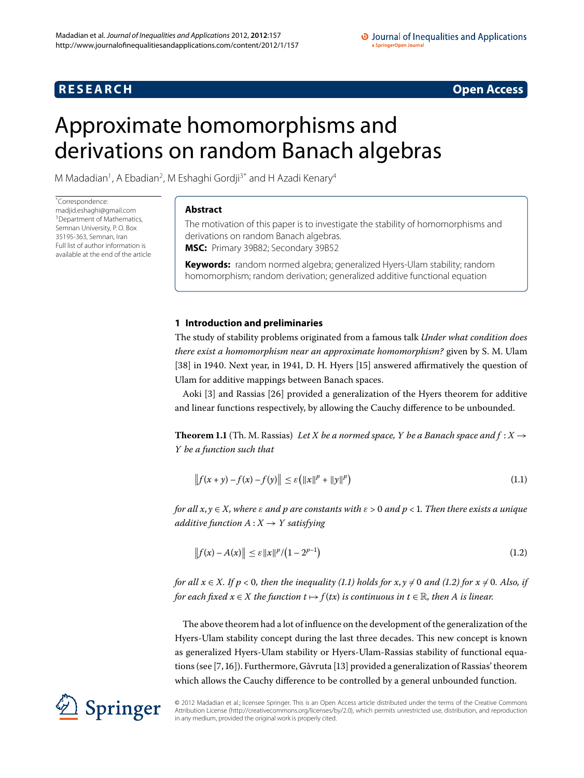## **RESEARCH CONSIDERED ACCESS**

# <span id="page-0-0"></span>Approximate homomorphisms and derivations on random Banach algebras

M Madadian<sup>1</sup>, A Ebadian<sup>[2](#page-5-1)</sup>, M Eshaghi Gordji<sup>[3](#page-5-2)[\\*](#page-0-0)</sup> and H Azadi Kenary<sup>[4](#page-5-3)</sup>

\* Correspondence: [madjid.eshaghi@gmail.com](mailto:madjid.eshaghi@gmail.com) <sup>3</sup> Department of Mathematics, Semnan University, P. O. Box 35195-363, Semnan, Iran Full list of author information is available at the end of the article

#### **Abstract**

The motivation of this paper is to investigate the stability of homomorphisms and derivations on random Banach algebras. **MSC:** Primary 39B82; Secondary 39B52

**Keywords:** random normed algebra; generalized Hyers-Ulam stability; random homomorphism; random derivation; generalized additive functional equation

### **1 Introduction and preliminaries**

The study of stability problems originated from a famous talk *Under what condition does there exist a homomorphism near an approximate homomorphism?* given by S. M. Ulam  $[38]$  $[38]$  in 1940. Next year, in 1941, D. H. Hyers  $[15]$  $[15]$  answered affirmatively the question of Ulam for additive mappings between Banach spaces.

Aoki [3[\]](#page-5-4) and Rassias [26] provided a generalization of the Hyers theorem for additive and linear functions respectively, by allowing the Cauchy difference to be unbounded.

**Theorem 1.1** (Th. M. Rassias) Let X be a normed space, Y be a Banach space and  $f: X \rightarrow$ *Y be a function such that*

<span id="page-0-2"></span><span id="page-0-1"></span>
$$
\|f(x+y) - f(x) - f(y)\| \le \varepsilon \left(\|x\|^p + \|y\|^p\right)
$$
\n(1.1)

*for all x, y*  $\in$  *X, where*  $\varepsilon$  *and p are constants with*  $\varepsilon$  > 0 *and*  $p$  < 1. Then there exists a unique *additive function*  $A: X \rightarrow Y$  *satisfying* 

$$
||f(x) - A(x)|| \le \varepsilon ||x||^p / (1 - 2^{p-1})
$$
\n(1.2)

*for all*  $x \in X$ *. If*  $p < 0$ *, then the inequality (1.1) holds for*  $x, y \neq 0$  *and (1.2) for*  $x \neq 0$ *. Also, if for each fixed*  $x \in X$  *the function*  $t \mapsto f(tx)$  *is continuous in*  $t \in \mathbb{R}$ *, then* A *is linear.* 

The above theorem had a lot of influence on the development of the generalization of the Hyers-Ulam stability concept during the last three decades. This new concept is known as generalized Hyers-Ulam stability or Hyers-Ulam-Rassias stability of functional equa-tions (see [7, 16[\]](#page-6-5)). Furthermore, Gǎvruta [13] provided a generalization of Rassias' theorem which allows the Cauchy difference to be controlled by a general unbounded function.



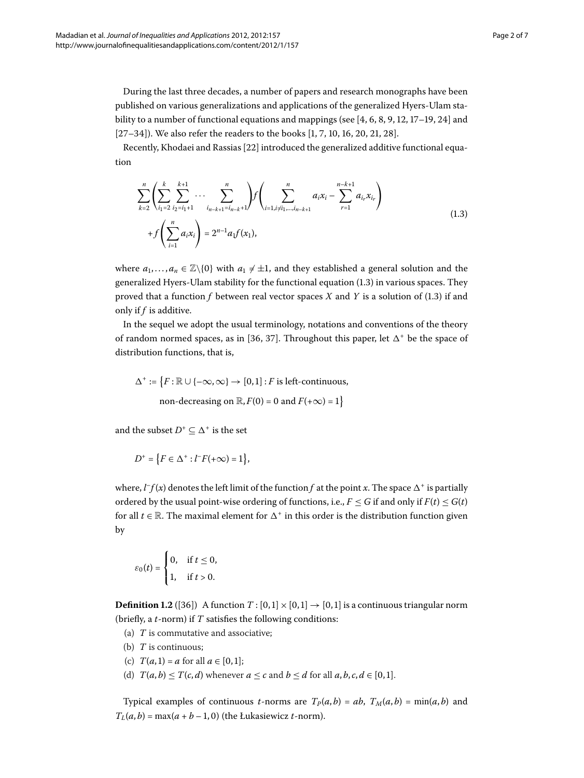During the last three decades, a number of papers and research monographs have been published on various generalizations and applications of the generalized Hyers-Ulam stability to a number of functional equations and mappings (see  $[4, 6, 8, 9, 12, 17-19, 24]$  $[4, 6, 8, 9, 12, 17-19, 24]$  $[4, 6, 8, 9, 12, 17-19, 24]$  $[4, 6, 8, 9, 12, 17-19, 24]$  $[4, 6, 8, 9, 12, 17-19, 24]$  and  $[27-34]$  $[27-34]$ ). We also refer the readers to the books  $[1, 7, 10, 16, 20, 21, 28]$  $[1, 7, 10, 16, 20, 21, 28]$  $[1, 7, 10, 16, 20, 21, 28]$ .

Recently, Khodaei and Rassias [\[](#page-6-20)22] introduced the generalized additive functional equation

<span id="page-1-0"></span>
$$
\sum_{k=2}^{n} \left( \sum_{i_1=2}^{k} \sum_{i_2=i_1+1}^{k+1} \cdots \sum_{i_{n-k+1}=i_{n-k+1}}^{n} \right) f \left( \sum_{i=1, i \neq i_1, \dots, i_{n-k+1}}^{n} a_i x_i - \sum_{r=1}^{n-k+1} a_{i_r} x_{i_r} \right) + f \left( \sum_{i=1}^{n} a_i x_i \right) = 2^{n-1} a_1 f(x_1),
$$
\n(1.3)

where  $a_1,..., a_n \in \mathbb{Z}\backslash\{0\}$  with  $a_1 \neq \pm 1$ , and they established a general solution and the generalized Hyers-Ulam stability for the functional equation (1[.](#page-1-0)3) in various spaces. They proved that a function  $f$  between real vector spaces  $X$  and  $Y$  is a solution of (1.3) if and only if *f* is additive.

In the sequel we adopt the usual terminology, notations and conventions of the theory of random normed spaces[,](#page-6-21) as in [36, 37[\]](#page-6-22). Throughout this paper, let  $\Delta^+$  be the space of distribution functions, that is,

$$
\Delta^+ := \{ F : \mathbb{R} \cup \{ -\infty, \infty \} \to [0, 1] : F \text{ is left-continuous,}
$$
  
non-decreasing on  $\mathbb{R}, F(0) = 0$  and  $F(+\infty) = 1 \}$ 

and the subset  $D^+ \subseteq \Delta^+$  is the set

$$
D^+=\left\{F\in\Delta^+: l^-F(+\infty)=1\right\},
$$

where,  $l^-f(x)$  denotes the left limit of the function  $f$  at the point  $x$ . The space  $\Delta^+$  is partially ordered by the usual point-wise ordering of functions, i.e.,  $F \leq G$  if and only if  $F(t) \leq G(t)$ for all  $t \in \mathbb{R}$ . The maximal element for  $\Delta^+$  in this order is the distribution function given by

$$
\varepsilon_0(t) = \begin{cases} 0, & \text{if } t \leq 0, \\ 1, & \text{if } t > 0. \end{cases}
$$

**Definition 1.2** ([36]) A function  $T : [0,1] \times [0,1] \rightarrow [0,1]$  is a continuous triangular norm (briefly, a *t*-norm) if *T* satisfies the following conditions:

- (a) *T* is commutative and associative;
- (b) *T* is continuous;
- (c)  $T(a, 1) = a$  for all  $a \in [0, 1]$ ;
- (d)  $T(a, b) \leq T(c, d)$  whenever  $a \leq c$  and  $b \leq d$  for all  $a, b, c, d \in [0, 1]$ .

Typical examples of continuous *t*-norms are  $T_P(a,b) = ab$ ,  $T_M(a,b) = min(a,b)$  and  $T_L(a, b) = \max(a + b - 1, 0)$  (the Łukasiewicz *t*-norm).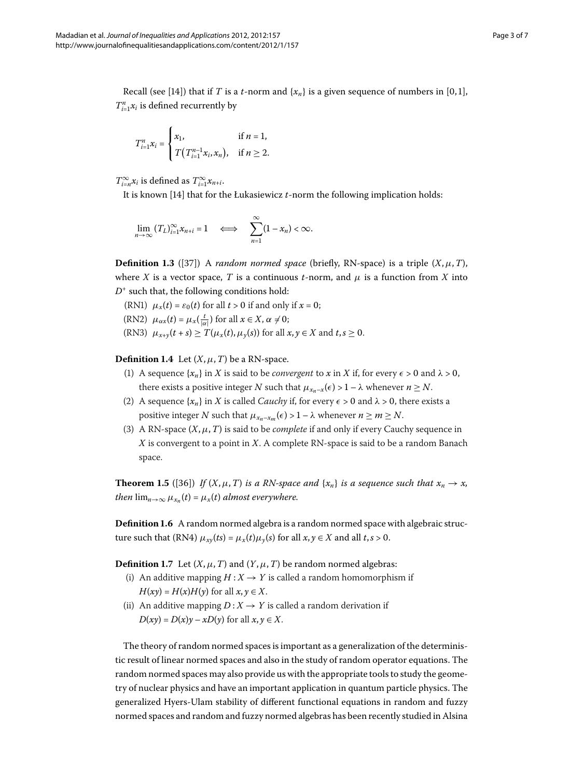Recall (see [14[\]](#page-6-23)) that if *T* is a *t*-norm and  $\{x_n\}$  is a given sequence of numbers in [0,1],  $T_{i=1}^n x_i$  is defined recurrently by

$$
T_{i=1}^{n}x_{i} = \begin{cases} x_{1}, & \text{if } n = 1, \\ T(T_{i=1}^{n-1}x_{i}, x_{n}), & \text{if } n \geq 2. \end{cases}
$$

 $T^{\infty}_{i=n}x_i$  is defined as  $T^{\infty}_{i=1}x_{n+i}$ .

It is known [\[](#page-6-23)14] that for the Łukasiewicz *t*-norm the following implication holds:

$$
\lim_{n\to\infty}(T_L)_{i=1}^\infty x_{n+i}=1\quad\Longleftrightarrow\quad \sum_{n=1}^\infty(1-x_n)<\infty.
$$

**Definition 1.3** ([37]) A *random normed space* (briefly, RN-space) is a triple  $(X, \mu, T)$ , where *X* is a vector space, *T* is a continuous *t*-norm, and  $\mu$  is a function from *X* into  $D^+$  such that, the following conditions hold:

(RN1)  $\mu_x(t) = \varepsilon_0(t)$  for all  $t > 0$  if and only if  $x = 0$ ;

(RN2)  $\mu_{\alpha x}(t) = \mu_x(\frac{t}{|\alpha|})$  for all  $x \in X$ ,  $\alpha \neq 0$ ;

(RN3)  $\mu_{x+y}(t+s) \geq T(\mu_x(t), \mu_y(s))$  for all  $x, y \in X$  and  $t, s \geq 0$ .

**Definition 1.4** Let  $(X, \mu, T)$  be a RN-space.

- (1) A sequence  $\{x_n\}$  in *X* is said to be *convergent* to *x* in *X* if, for every  $\epsilon > 0$  and  $\lambda > 0$ , there exists a positive integer *N* such that  $\mu_{x_n-x}(\epsilon) > 1 - \lambda$  whenever  $n \geq N$ .
- (2) A sequence  $\{x_n\}$  in *X* is called *Cauchy* if, for every  $\epsilon > 0$  and  $\lambda > 0$ , there exists a positive integer *N* such that  $\mu_{x_n-x_m}(\epsilon) > 1 - \lambda$  whenever  $n \ge m \ge N$ .
- (3) A RN-space  $(X, \mu, T)$  is said to be *complete* if and only if every Cauchy sequence in *X* is convergent to a point in *X*. A complete RN-space is said to be a random Banach space.

**Theorem 1.5** ([36]) *If*  $(X, \mu, T)$  *is a RN-space and*  $\{x_n\}$  *is a sequence such that*  $x_n \to x$ , *then*  $\lim_{n\to\infty} \mu_{x_n}(t) = \mu_x(t)$  *almost everywhere.* 

**Definition 1.6** A random normed algebra is a random normed space with algebraic structure such that (RN4)  $\mu_{xy}(ts) = \mu_x(t)\mu_y(s)$  for all  $x, y \in X$  and all  $t, s > 0$ .

**Definition 1.7** Let  $(X, \mu, T)$  and  $(Y, \mu, T)$  be random normed algebras:

- (i) An additive mapping  $H: X \rightarrow Y$  is called a random homomorphism if  $H(xy) = H(x)H(y)$  for all  $x, y \in X$ .
- (ii) An additive mapping  $D: X \rightarrow Y$  is called a random derivation if  $D(xy) = D(x)y - xD(y)$  for all  $x, y \in X$ .

The theory of random normed spaces is important as a generalization of the deterministic result of linear normed spaces and also in the study of random operator equations. The random normed spaces may also provide us with the appropriate tools to study the geometry of nuclear physics and have an important application in quantum particle physics. The generalized Hyers-Ulam stability of different functional equations in random and fuzzy normed spaces and random and fuzzy normed algebras has been recently studied in Alsina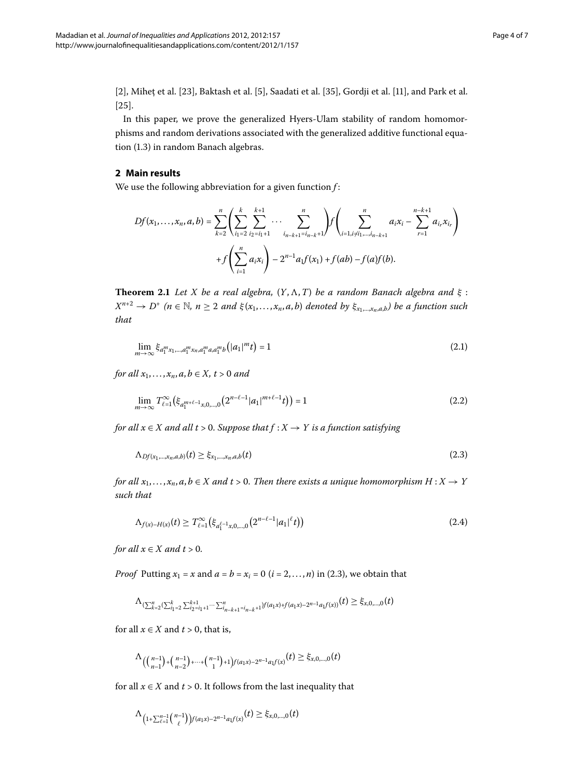[2[\]](#page-6-27), Mihet et al. [\[](#page-6-26)23], Baktash et al. [5], Saadati et al. [35], Gordji et al. [11], and Park et al.  $[25]$  $[25]$ .

In this paper, we prove the generalized Hyers-Ulam stability of random homomorphisms and random derivations associated with the generalized additive functional equation (1.3) in random Banach algebras.

#### **2 Main results**

<span id="page-3-4"></span>We use the following abbreviation for a given function *f* :

<span id="page-3-1"></span>
$$
Df(x_1,...,x_n,a,b) = \sum_{k=2}^n \left( \sum_{i_1=2}^k \sum_{i_2=i_1+1}^{k+1} \cdots \sum_{i_{n-k+1}=i_{n-k}+1}^n \right) f\left(\sum_{i=1, i\neq i_1,...,i_{n-k+1}}^n a_i x_i - \sum_{r=1}^{n-k+1} a_{i_r} x_{i_r}\right) + f\left(\sum_{i=1}^n a_i x_i\right) - 2^{n-1} a_1 f(x_1) + f(ab) - f(a) f(b).
$$

**Theorem 2.1** Let *X* be a real algebra,  $(Y, \Lambda, T)$  be a random Banach algebra and  $\xi$ :  $X^{n+2} \to D^+$  ( $n \in \mathbb{N}$ ,  $n \ge 2$  and  $\xi(x_1, \ldots, x_n, a, b)$  denoted by  $\xi_{x_1, \ldots, x_n, a, b}$ ) be a function such *that*

<span id="page-3-3"></span><span id="page-3-0"></span>
$$
\lim_{m \to \infty} \xi_{a_1^m x_1, \dots, a_1^m x_n, a_1^m a, a_1^m b} \left( |a_1|^m t \right) = 1 \tag{2.1}
$$

*for all*  $x_1, ..., x_n, a, b \in X, t > 0$  *and* 

$$
\lim_{m \to \infty} T_{\ell=1}^{\infty} \left( \xi_{a_1^{m+\ell-1}x,0,\dots,0} \left( 2^{n-\ell-1} |a_1|^{m+\ell-1} t \right) \right) = 1 \tag{2.2}
$$

*for all*  $x \in X$  *and all*  $t > 0$ *. Suppose that*  $f : X \to Y$  *is a function satisfying* 

<span id="page-3-2"></span>
$$
\Lambda_{Df(x_1,\ldots,x_n,a,b)}(t) \geq \xi_{x_1,\ldots,x_n,a,b}(t) \tag{2.3}
$$

*for all*  $x_1, \ldots, x_n, a, b \in X$  and  $t > 0$ . Then there exists a unique homomorphism  $H : X \to Y$ *such that*

$$
\Lambda_{f(x)-H(x)}(t) \ge T_{\ell=1}^{\infty}(\xi_{a_1^{\ell-1}x,0,\dots,0}(2^{n-\ell-1}|a_1|^{\ell}t))
$$
\n(2.4)

*for all*  $x \in X$  *and*  $t > 0$ *.* 

*Proof* Putting  $x_1 = x$  and  $a = b = x_i = 0$  ( $i = 2, ..., n$  $i = 2, ..., n$  $i = 2, ..., n$ ) in (2.3), we obtain that

$$
\Lambda_{(\sum_{k=2}^{n} {(\sum_{i_1=2}^{k} {\sum_{i_2=1}^{k+1} x_i \cdots \sum_{i_n=k+1}^{n} x_i}}+1)} f(a_1x)+f(a_1x)-2^{n-1}a_1f(x))}(t) \geq \xi_{x,0,\dots,0}(t)
$$

for all  $x \in X$  and  $t > 0$ , that is,

$$
\Lambda_{(n-1)+\binom{n-1}{n-2}+\cdots+\binom{n-1}{1}+1}f(a_1x)-2^{n-1}a_1f(x)}(t)\geq\xi_{x,0,\ldots,0}(t)
$$

for all  $x \in X$  and  $t > 0$ . It follows from the last inequality that

$$
\Lambda_{(1+\sum_{\ell=1}^{n-1} \binom{n-1}{\ell}) f(a_1x) - 2^{n-1} a_1 f(x)}(t) \geq \xi_{x,0,\dots,0}(t)
$$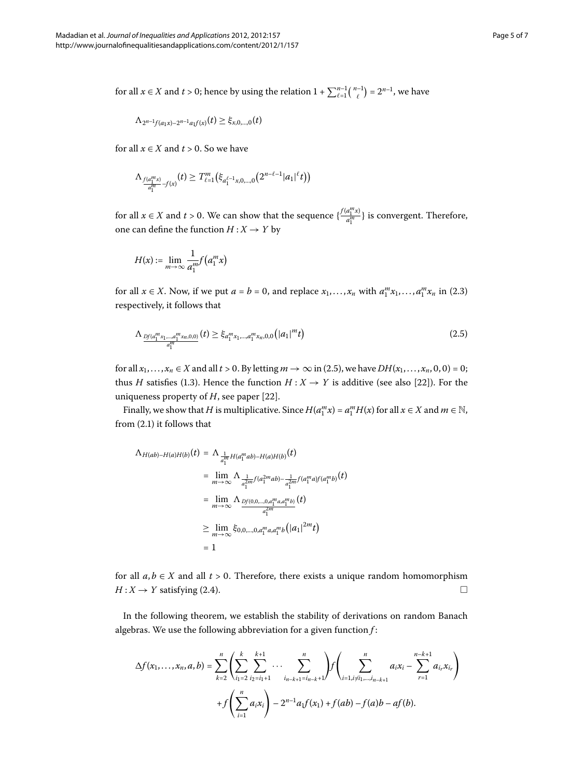for all  $x \in X$  and  $t > 0$ ; hence by using the relation  $1 + \sum_{\ell=1}^{n-1} {n-1 \choose \ell} = 2^{n-1}$ , we have

$$
\Lambda_{2^{n-1}f(a_1x)-2^{n-1}a_1f(x)}(t) \geq \xi_{x,0,\dots,0}(t)
$$

for all  $x \in X$  and  $t > 0$ . So we have

$$
\Lambda_{\frac{f(a_1^{m}x)}{a_1^{m}}-f(x)}(t) \geq T_{\ell-1}^m(\xi_{a_1^{\ell-1}x,0,\ldots,0}(2^{n-\ell-1}|a_1|^{\ell}t))
$$

for all  $x \in X$  and  $t > 0$ . We can show that the sequence  $\{\frac{f(a_1^m x)}{a_1^m}\}$  is convergent. Therefore, one can define the function  $H: X \rightarrow Y$  by

<span id="page-4-0"></span>
$$
H(x) := \lim_{m \to \infty} \frac{1}{a_1^m} f(a_1^m x)
$$

for all  $x \in X$ [.](#page-3-0) Now, if we put  $a = b = 0$ , and replace  $x_1, \ldots, x_n$  with  $a_1^m x_1, \ldots, a_1^m x_n$  in (2.3) respectively, it follows that

$$
\Lambda_{\frac{Df(a_1^m x_1,\ldots,a_1^m x_n,0,0)}{a_1^m}}(t) \geq \xi_{a_1^m x_1,\ldots,a_1^m x_n,0,0}(|a_1|^m t) \tag{2.5}
$$

for all  $x_1, \ldots, x_n \in X$  and all  $t > 0$ . By letting  $m \to \infty$  in (2.5), we have  $DH(x_1, \ldots, x_n, 0, 0) = 0$ ; thus *H* satisfies (1.3). Hence the function  $H: X \rightarrow Y$  is additive (see also [22[\]](#page-6-20)). For the uniqueness property of  $H$ , see paper [\[](#page-6-20)22].

Finally, we show that *H* is multiplicative. Since  $H(a_1^m x) = a_1^m H(x)$  for all  $x \in X$  and  $m \in \mathbb{N}$ , from  $(2.1)$  it follows that

$$
\Lambda_{H(ab)-H(a)H(b)}(t) = \Lambda_{\frac{1}{a_1^m}H(a_1^mab)-H(a)H(b)}(t)
$$
  
\n
$$
= \lim_{m \to \infty} \Lambda_{\frac{1}{a_1^2m}f(a_1^{2m}ab) - \frac{1}{a_1^{2m}}f(a_1^m a)f(a_1^m b)}(t)
$$
  
\n
$$
= \lim_{m \to \infty} \Lambda_{\frac{Df(0,0,\ldots,0,a_1^m a, a_1^m b)}{a_1^{2m}}}(t)
$$
  
\n
$$
\geq \lim_{m \to \infty} \xi_{0,0,\ldots,0,a_1^m a, a_1^m b}(|a_1|^{2m} t)
$$
  
\n
$$
= 1
$$

for all  $a, b \in X$  and all  $t > 0$ . Therefore, there exists a unique random homomorphism  $H: X \rightarrow Y$  satisfying (2.4).  $\Box$ 

In the following theorem, we establish the stability of derivations on random Banach algebras. We use the following abbreviation for a given function *f* :

$$
\Delta f(x_1, \ldots, x_n, a, b) = \sum_{k=2}^n \left( \sum_{i_1=2}^k \sum_{i_2=i_1+1}^{k+1} \cdots \sum_{i_{n-k+1}=i_{n-k}+1}^n \right) f\left(\sum_{i=1, i \neq i_1, \ldots, i_{n-k+1}}^n a_i x_i - \sum_{r=1}^{n-k+1} a_{i_r} x_{i_r}\right) + f\left(\sum_{i=1}^n a_i x_i\right) - 2^{n-1} a_1 f(x_1) + f(ab) - f(a) b - af(b).
$$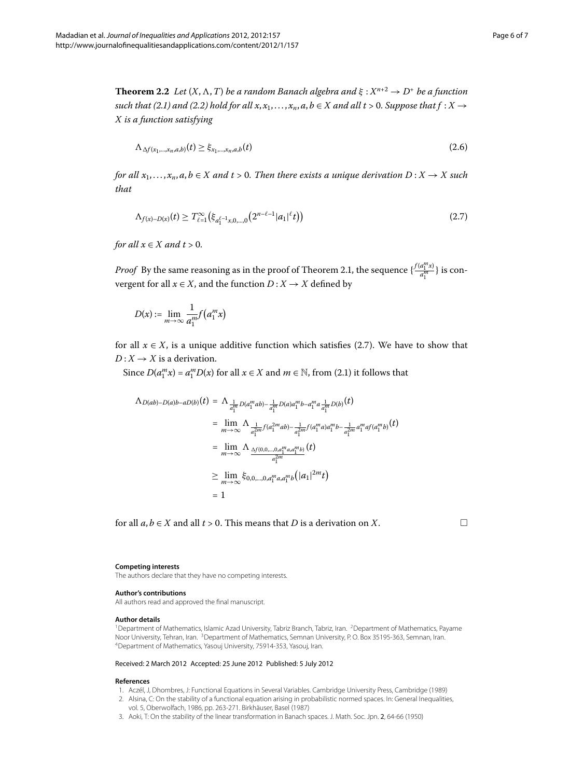**Theorem 2.2** Let  $(X, \Lambda, T)$  be a random Banach algebra and  $\xi : X^{n+2} \to D^+$  be a function *such that (2[.](#page-3-3)1) and (2.2) hold for all*  $x, x_1, \ldots, x_n, a, b \in X$  *and all*  $t > 0$ *. Suppose that*  $f : X \rightarrow$ *X is a function satisfying*

<span id="page-5-7"></span>
$$
\Lambda_{\Delta f(x_1,\ldots,x_n,a,b)}(t) \geq \xi_{x_1,\ldots,x_n,a,b}(t) \tag{2.6}
$$

*for all*  $x_1, \ldots, x_n, a, b \in X$  and  $t > 0$ . Then there exists a unique derivation  $D: X \to X$  such *that*

$$
\Lambda_{f(x)-D(x)}(t) \ge T_{\ell=1}^{\infty}(\xi_{a_1^{\ell-1}x,0,\dots,0}(2^{n-\ell-1}|a_1|^{\ell}t))
$$
\n(2.7)

*for all*  $x \in X$  *and*  $t > 0$ *.* 

*Proof* By the same reasoning as in the proof of Theorem 2.1, the sequence  $\{\frac{f(a_1^m x)}{a_1^m}\}$  is convergent for all  $x \in X$ , and the function  $D: X \rightarrow X$  defined by

$$
D(x) := \lim_{m \to \infty} \frac{1}{a_1^m} f(a_1^m x)
$$

for all  $x \in X$ , is a unique additive function which satisfies (2.7). We have to show that  $D: X \rightarrow X$  is a derivation.

Since  $D(a_1^m x) = a_1^m D(x)$  for all  $x \in X$  and  $m \in \mathbb{N}$ , from (2.1) it follows that

$$
\Lambda_{D(ab)-D(a)b-aD(b)}(t) = \Lambda_{\frac{1}{a_1^m}D(a_1^mab) - \frac{1}{a_1^m}D(a)a_1^m b - a_1^m a_{\frac{1}{a_1^m}D(b)}(t)
$$
  
\n
$$
= \lim_{m \to \infty} \Lambda_{\frac{1}{a_1^2 m}f(a_1^{2m}ab) - \frac{1}{a_1^2 m}f(a_1^m a)a_1^m b - \frac{1}{a_1^2 m}a_1^m a f(a_1^m b)}(t)
$$
  
\n
$$
= \lim_{m \to \infty} \Lambda_{\frac{\Delta f(0,0,\dots,0,a_1^m a, a_1^m b)}{a_1^2 m}}(t)
$$
  
\n
$$
\geq \lim_{m \to \infty} \xi_{0,0,\dots,0,a_1^m a, a_1^m b}(|a_1|^{2m} t)
$$
  
\n
$$
= 1
$$

<span id="page-5-1"></span><span id="page-5-0"></span>for all  $a, b \in X$  and all  $t > 0$ . This means that *D* is a derivation on *X*.

#### <span id="page-5-3"></span><span id="page-5-2"></span>**Competing interests**

The authors declare that they have no competing interests.

#### **Author's contributions**

<span id="page-5-6"></span><span id="page-5-5"></span>All authors read and approved the final manuscript.

#### **Author details**

<span id="page-5-4"></span><sup>1</sup> Department of Mathematics, Islamic Azad University, Tabriz Branch, Tabriz, Iran. <sup>2</sup> Department of Mathematics, Payame Noor University, Tehran, Iran. <sup>3</sup>Department of Mathematics, Semnan University, P. O. Box 35195-363, Semnan, Iran. 4Department of Mathematics, Yasouj University, 75914-353, Yasouj, Iran.

#### Received: 2 March 2012 Accepted: 25 June 2012 Published: 5 July 2012

#### **References**

- 1. Aczél, J, Dhombres, J: Functional Equations in Several Variables. Cambridge University Press, Cambridge (1989)
- 2. Alsina, C: On the stability of a functional equation arising in probabilistic normed spaces. In: General Inequalities, vol. 5, Oberwolfach, 1986, pp. 263-271. Birkhäuser, Basel (1987)
- 3. Aoki, T: On the stability of the linear transformation in Banach spaces. J. Math. Soc. Jpn. 2, 64-66 (1950)